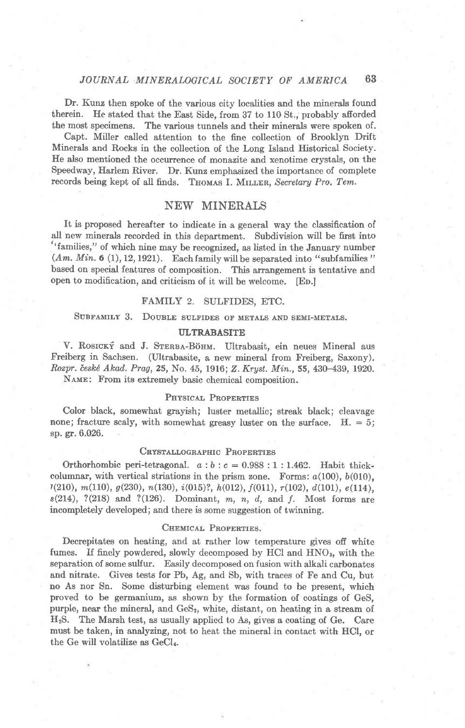## JOURNAL MINERALOGICAL SOCIETY OF AMERICA 63

Dr. Kunz then spoke of the various city localities and the minerals found therein. He stated that the East Side, from 37 to 110 St., probably afforded the most specimens. The various tunnels and their minerals were spoken of.

Capt. Miller called attention to the fine collection of Brooklyn Drift Minerals and Rocks in the collection of the Long Island Historical Society. Ife abo mentioned the occurrence of monazite and xenotime crystals, on the Speedway, Harlem River. Dr. Kunz emphasized the importance of complete records being kept of all finds. THOMAS I. MILLER, Secretary Pro. Tem.

# NEW MINERALS

It is proposed hereafter to indicate in.a general way the classification of all new minerals recorded in this department. Subdivision will be first into "families," of which nine may be recognized, as listed in the January number  $(Am. Min. 6 (1), 12, 1921)$ . Each family will be separated into "subfamilies" based on special features of composition. This arrangement is tentative and open to modification, and criticism of it will be welcome, [Eo.]

#### FAMILY 2. SULFIDES, ETC.

# SUBFAMILY 3. DOUBLE SULFIDES OF METALS AND SEMI-METALS.

#### **ULTRABASITE**

V. ROSICKÝ and J. STERBA-BÖHM. Ultrabasit, ein neues Mineral aus Freiberg in Sachsen. (Ultrabasite, a new mineral from Freiberg, Saxony). Rozpr. české Akad. Prag, 25, No. 45, 1916; Z. Kryst. Min., 55, 430-439, 1920. NAME: From its extremely basic chemical composition.

#### PHYSICAL PROPERTIES

Color black, somewhat grayish; luster metallic; streak black; cleavage none; fracture scaly, with somewhat greasy luster on the surface.  $H = 5$ ; sp. gr. 6.026.

## CRYSTALLOGRAPHIC PROPERTIES

Orthorhombic peri-tetragonal.  $a:b:c = 0.988:1:1.462$ . Habit thickcolumnar, with vertical striations in the prism zone. Forms:  $a(100)$ ,  $b(010)$ ,  $r(210)$ ,  $m(110)$ ,  $g(230)$ ,  $n(130)$ ,  $i(015)$ ?,  $h(012)$ ,  $f(011)$ ,  $r(102)$ ,  $d(101)$ ,  $e(114)$ ,  $s(214)$ , ?(218) and ?(126). Dominant, m, n, d, and f. Most forms are incompletely developed; and there is some suggestion of twinning,

#### CHEMICAL PROPERTIES.

Decrepitates on heating, and at rather low temperature gives off white fumes. If finely powdered, slowly decomposed by HCl and  $HNO<sub>3</sub>$ , with the separation of some sulfur. Easily decomposed on fusion with alkali carbonates and nitrate. Gives tests for Pb, Ag, and Sb, with traces of Fe and Cu, but no As nor Sn. Some disturbing element was found to he present, which proved to be germanium, as shown by the formation of coatings of GeS, purple, near the mineral, and GeS<sub>2</sub>, white, distant, on heating in a stream of HrS. The Marsh test, as usually applied to As, gives a coating of Ge. Care must be taken, in analyzing, not to heat the mineral in contact with IICI, or the Ge will volatilize as GeCl.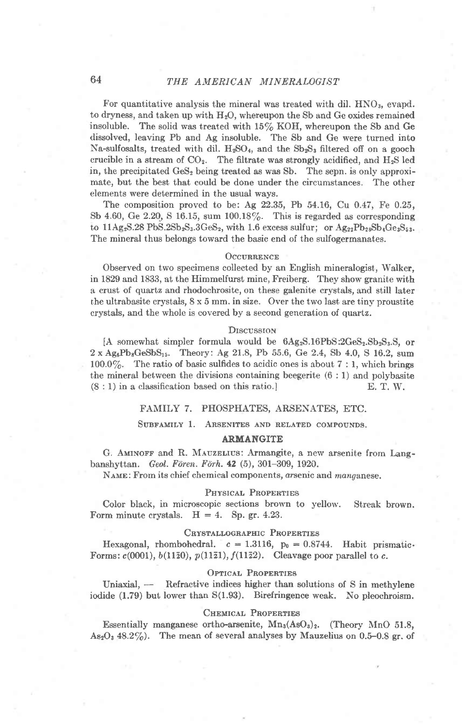# 64 THE AMERICAN MINERALOGIST

For quantitative analysis the mineral was treated with dil.  $HNO<sub>3</sub>$ , evapd. to dryness, and taken up with  $H<sub>2</sub>O$ , whereupon the Sb and Ge oxides remained insoluble. The solid was treated with  $15\%$  KOH, whereupon the Sb and Ge dissolved, leaving Pb and Ag insoluble. The Sb and Ge were turned into Na-sulfosalts, treated with dil.  $H_2SO_4$ , and the  $Sb_2S_3$  filtered off on a gooch crucible in a stream of  $CO<sub>2</sub>$ . The filtrate was strongly acidified, and  $H<sub>2</sub>S$  led in, the precipitated  $\text{GeS}_2$  being treated as was Sb. The sepn. is only approximate, but the best that could be done under the circumstances. The other elements were determined in the usual ways.

The composition proved to be: Ag 22.35, Pb 54.16, Cu O.47, Fe 0.25, Sb 4.60, Ge 2.20, S 16.15, sum 100.18 $\%$ . This is regarded as corresponding to  $11Ag_2S.28 PbS.2Sb_2S_3.3GeS_2$ , with 1.6 excess sulfur; or  $Ag_{22}Pb_{23}Sb_4Ge_3S_5$ . The mineral thus belongs toward the basic end of the sulfogermanates.

#### OCCURRENCE

Observed on two specimens collected by an English mineralogist, Walker, in 1829 and 1833, at the Himmelfurst mine, Freiberg. They show granite with a crust of quartz and rhodochrosite, on these galenite crystals, and still later the ultrabasite crystals, 8 x 5 mm. in size. Over the two last are tiny proustite crystals, and the whole is covered by a second generation of quartz.

#### **DISCUSSION**

[A somewhat simpler formula would be  $6Ag_2S.16PbS:2GeS_2S_2S_3S_1$ , or  $2 \times \text{Ag}_6\text{Pb}_8\text{GeSbS}_{15}$ . Theory: Ag 21.8, Pb 55.6, Ge 2.4, Sb 4.0, S 16.2, sum 100.0%. The ratio of basic sulfides to acidic ones is about  $7:1$ , which brings the mineral between the divisions containing beegerite (6 : 1) and polybasite  $(8:1)$  in a classification based on this ratio.] E. T. W.

#### FAMILY 7. PHOSPHATES, ARSENATES, ETC.

#### SUBFAMILY 1. ARSENITES AND RELATED COMPOUNDS.

#### ARMANGITE

G. AMINOFF and R. MAUZELIUS: Armangite, a new arsenite from Langbanshyttan. Geol. Fören. Förh. 42 (5), 301-309, 1920.

NAME: From its chief chemical components, arsenic and manganese.

#### PHYSICAL PROPERTIES

Color black, in microscopic sections brown to yellow. Streak brown. Form minute crystals.  $H = 4$ . Sp. gr. 4.23.

#### CRYSTALLOGRAPHIC PROPERTIES

Hexagonal, rhombohedral.  $c = 1.3116$ ,  $p_0 = 0.8744$ . Habit prismatic-Forms:  $c(0001)$ ,  $b(11\overline{2}0)$ ,  $p(11\overline{2}1)$ ,  $f(11\overline{2}2)$ . Cleavage poor parallel to c.

#### OPTICAL PROPERTIES

Uniaxial,  $\frac{1}{\sqrt{1-\frac{1}{\pi}}}$  Refractive indices higher than solutions of S in methylene iodide  $(1.79)$  but lower than  $S(1.93)$ . Birefringence weak. No pleochroism.

#### CHEMICAL PROPERTIES

Essentially manganese ortho-arsenite,  $Mn_3(AsO_3)_2$ . (Theory MnO 51.8,  $As<sub>2</sub>O<sub>3</sub>$  48.2%). The mean of several analyses by Mauzelius on 0.5-0.8 gr. of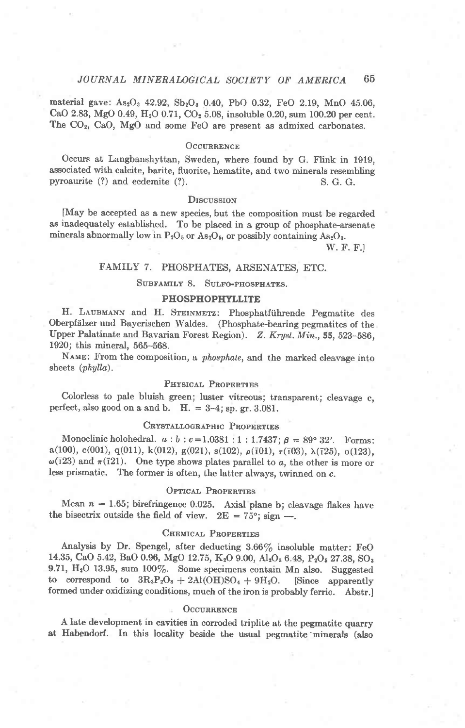material gave: As<sub>2</sub>O<sub>3</sub> 42.92, Sb<sub>2</sub>O<sub>3</sub> 0.40, PbO 0.32, FeO 2.19, MnO 45.06, CaO 2.83, MgO 0.49, H<sub>2</sub>O 0.71, CO<sub>2</sub> 5.08, insoluble 0.20, sum 100.20 per cent. The CO<sub>2</sub>, CaO, MgO and some FeO are present as admixed carbonates.

## **OCCURRENCE**

Occurs at Langbanshyttan, Sweden, where found by G. Flink in 1919, associated with calcite, barite, fluorite, hematite, and two minerals resembling pyroaurite (?) and ecdemite (?). S. G. G.

## **DISCUSSION**

[May be accepted as a new species, but the composition must be regarded as inadequately established. To be placed in a group of phosphate-arsenate minerals abnormally low in  $P_2O_5$  or As<sub>2</sub>O<sub>5</sub>, or possibly containing As<sub>2</sub>O<sub>3</sub>.

W. F. F.]

## FAMILY 7. PHOSPHATES, ARSENATES, ETC.

#### SUBFAMILY 8. SULFO-PHOSPHATES.

## **PHOSPHOPHYLLITE**

H. LAUBMANN and H. STEINMETZ: Phosphatführende Pegmatite des Oberpfälzer und Bayerischen Waldes. (Phosphate-bearing pegmatites of the Upper Palatinate and Bavarian Forest Region). Z. Kryst. Min., 55, 523-586, 1920; this mineral, 565-568.

NAME: From the composition, a *phosphate*, and the marked cleavage into sheets (phylla).

#### PHYSICAL PROPERTIES

Colorless to pale bluish green; luster vitreous; transparent; cleavage c, perfect, also good on a and b.  $H = 3-4$ ; sp. gr. 3.081.

## CRYSTALLOGRAPHIC PROPERTIES

Monoclinic holohedral.  $a : b : c = 1.0381 : 1 : 1.7437; \beta = 89^{\circ} 32'$ . Forms:  $a(100), c(001), q(011), k(012), g(021), s(102), \rho(101), \tau(103), \lambda(125), o(123),$  $\omega(\bar{1}23)$  and  $\pi(\bar{1}21)$ . One type shows plates parallel to a, the other is more or less prismatic. The former is often, the latter always, twinned on c.

# OPTICAL PROPERTIES

Mean  $n = 1.65$ ; birefringence 0.025. Axial plane b; cleavage flakes have the bisectrix outside the field of view.  $2E = 75^{\circ}$ ; sign --

#### CHEMICAL PROPERTIES

Analysis by Dr. Spengel, after deducting 3.66% insoluble matter: FeO 14.35, CaO 5.42, BaO 0.96, MgO 12.75, K<sub>2</sub>O 9.00, Al<sub>2</sub>O<sub>3</sub> 6.48, P<sub>2</sub>O<sub>5</sub> 27.38, SO<sub>3</sub> 9.71,  $H_2O$  13.95, sum 100%. Some specimens contain Mn also. Suggested to correspond to  $3R_3P_2O_8 + 2Al(OH)SO_4 + 9H_2O$ . [Since apparently formed under oxidizing conditions, much of the iron is probably ferric. Abstr.]

#### **OCCURRENCE**

A late development in cavities in corroded triplite at the pegmatite quarry at Habendorf. In this locality beside the usual pegmatite minerals (also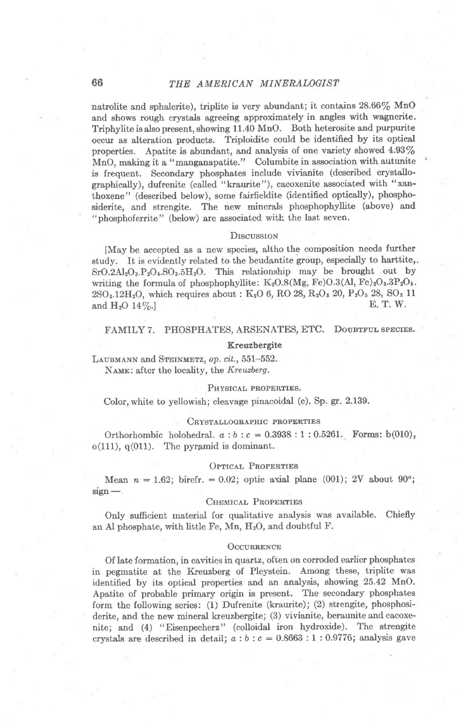# 66 THE AMERICAN MINERALOGIST

natrolite and sphalerite), triplite is very abundant; it contains  $28.66\%$  MnO and shows rough crystals agreeing approximately in angles with wagnerite. Triphylite isalsopresent, showing 11.40 MnO. Both heterosite and purpurite occur as alteration products. Triploidite could be identified by its optical properties. Apatite is abundant, and analysis of one variety showed  $4.93\%$ MnO, making it a "manganapatite." Columbite in association with autunite is frequent. Secondary phosphates include vivianite (described crystallographically), dufrenite (called "kraurite"), cacoxenite associated with "xanthoxene" (described below), some fairfieldite (identified optically), phospho' siderite, and strengite. The new minerals phosphophyllite (above) and "phosphoferrite" (below) are associated with the last seven.

#### DISCUSSION

[May be accepted as a new species, altho the composition needs further study. It is evidently related to the beudantite group, especially to harttite,.  $SrO.2Al<sub>2</sub>O<sub>3</sub> P<sub>2</sub>O<sub>5</sub> SO<sub>3</sub> 5H<sub>2</sub>O$ . This relationship may be brought out by writing the formula of phosphophyllite:  $K_2O.8(Mg, Fe)O.3(Al, Fe)_2O_3.3P_2O_5.$  $2{\rm SO}_3.12{\rm H}_2{\rm O}$ , which requires about : K<sub>2</sub>O 6, RO 28, R<sub>2</sub>O<sub>3</sub> 20, P<sub>2</sub>O<sub>5</sub> 28, SO<sub>3</sub> 11<br>and H<sub>2</sub>O 14%. and  $H_2O$  14\%.

#### FAMILY 7. PHOSPHATES, ARSENATES, ETC. DOUBTFUL SPECIES.

#### Kreuzbergite

LAUBMANN and STEINMETZ, op. cit., 551-552. NAME: after the locality, the Kreuzberg.

#### PHYSICAL PROPERTIES.

Color, white to yellowish; cleavage pinacoidal (c). Sp. gr. 2.139.

#### CRYSTALLOGRAPHIC PROPERTIES

Orthorhombic holohedral.  $a:b:c= 0.3938:1:0.5261$ . Forms: b(010),  $o(111)$ ,  $q(011)$ . The pyramid is dominant.

#### OPTICAL PROPERTIES

Mean  $n = 1.62$ ; birefr. = 0.02; optic axial plane (001); 2V about 90°;  $sign -$ 

#### CHEMICAL PROPERTIES

Only sufficient material for qualitative analysis was available. Chiefly an Al phosphate, with little Fe, Mn,  $H<sub>2</sub>O$ , and doubtful F.

#### OCCURRENCE

Of late formation, in cavities in quartz, often on corroded earlier phosphates in pegmatite at the Kreuzberg of Pleystein. Among these, triplite was identified by its optical properties and an analysis, showing 25.42 MnO. Apatite of probable primary origin is present. The secondary phosphates form the following series: (1) Dufrenite (kraurite); (2) strengite, phosphosiderite, and the new mineral kreuzbergite; (3) vivianite, beraunite and cacoxenite; and (4) "Eisenpecherz" (colloidal iron hydroxide). The strengite crystals are described in detail;  $a : b : c = 0.8663 : 1 : 0.9776$ ; analysis gave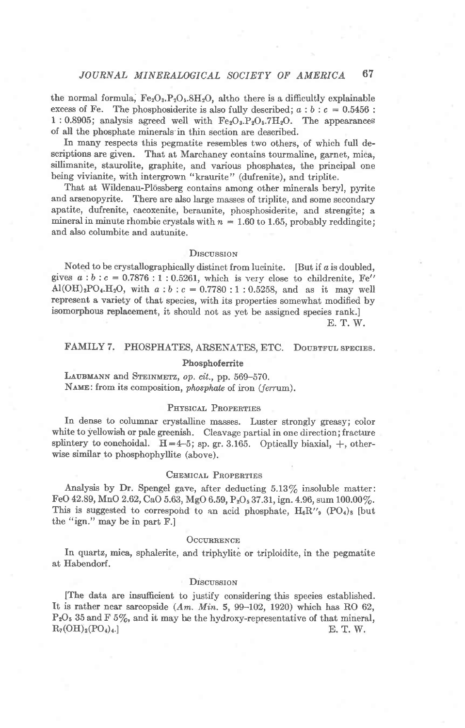the normal formula,  $Fe<sub>2</sub>O<sub>3</sub>$ ,  $P<sub>2</sub>O<sub>5</sub>$ ,  $8H<sub>2</sub>O$ , altho there is a difficultly explainable excess of Fe. The phosphosiderite is also fully described;  $a : b : c = 0.5456$ : 1 : 0.8905; analysis agreed well with  $Fe<sub>2</sub>O<sub>3</sub> P<sub>2</sub>O<sub>5</sub>$ .7H<sub>2</sub>O. The appearances of all the phosphate minerals in thin section are described.

In many respects this pegmatite resembles two others, of which full descriptions are given. That at Marchaney contains tourmaline, garnet, mica, sillimanite, staurolite, graphite, and various phosphates, the principal one being vivianite, with intergrown "kraurite" (dufrenite), and triplite.

That at Wildenau-Plössberg contains among other minerals beryl, pyrite and arsenopyrite. There are also large masses of triplite, and some secondary apatite, dufrenite, cacoxenite, beraunite, phosphosiderite, and strengite; a mineral in minute rhombic crystals with  $n = 1.60$  to 1.65, probably reddingite; and also columbite and autunite.

## DISCUSSION

Noted to be crystallographically distinct from lucinite. [But if  $a$  is doubled, gives  $a:b:c = 0.7876:1:0.5261$ , which is very close to childrenite, Fe''  $Al(OH)<sub>2</sub>PO<sub>4</sub>.H<sub>2</sub>O$ , with  $a:b:c=0.7780:1:0.5258$ , and as it may well represent a variety of that species, with its properties somewhat modified by isomorphous replacement, it should not as yet be assigned species rank.] E. T. W.

# FAMILY 7. PHOSPHATES, ARSENATES, ETC. DOUBTFUL SPECIES.

## Phosphoferrite

LAUBMANN and STEINMETZ, op. cit., pp. 569-570. NAME: from its composition, phosphate of iron (ferrum).

## PHYSICAL PROPERTIES

In dense to columnar crystalline masses. Luster strongly greasy; color white to yellowish or pale greenish. Cleavage partial in one direction; fracture splintery to conchoidal.  $H=4-5$ ; sp. gr. 3.165. Optically biaxial,  $+$ , otherwise similar to phosphophyllite (above).

## CHEMICAL PROPERTIES

Analysis by Dr. Spengel gave, after deducting  $5.13\%$  insoluble matter: FeO 42.89, MnO 2.62, CaO 5.63, MgO 6.59, P<sub>2</sub>O<sub>5</sub> 37.31, ign. 4.96, sum 100.00%. This is suggested to correspond to an acid phosphate,  $H_6R''$ , (PO<sub>4</sub>)<sub>8</sub> [but the "ign." may be in part F.]

#### OCCURRENCE

In quartz, mica, sphalerite, and triphylite or triploidite, in the pegmatite at Habendorf.

#### **Discussion**

[The data are insufficient to justify considering this species established. It is rather near sarcopside  $(Am. Min. 5, 99-102, 1920)$  which has RO 62,  $P<sub>2</sub>O<sub>5</sub>$  35 and F 5%, and it may be the hydroxy-representative of that mineral,  $R_7(OH)_2(PO_4)_4.$  E. T. W.